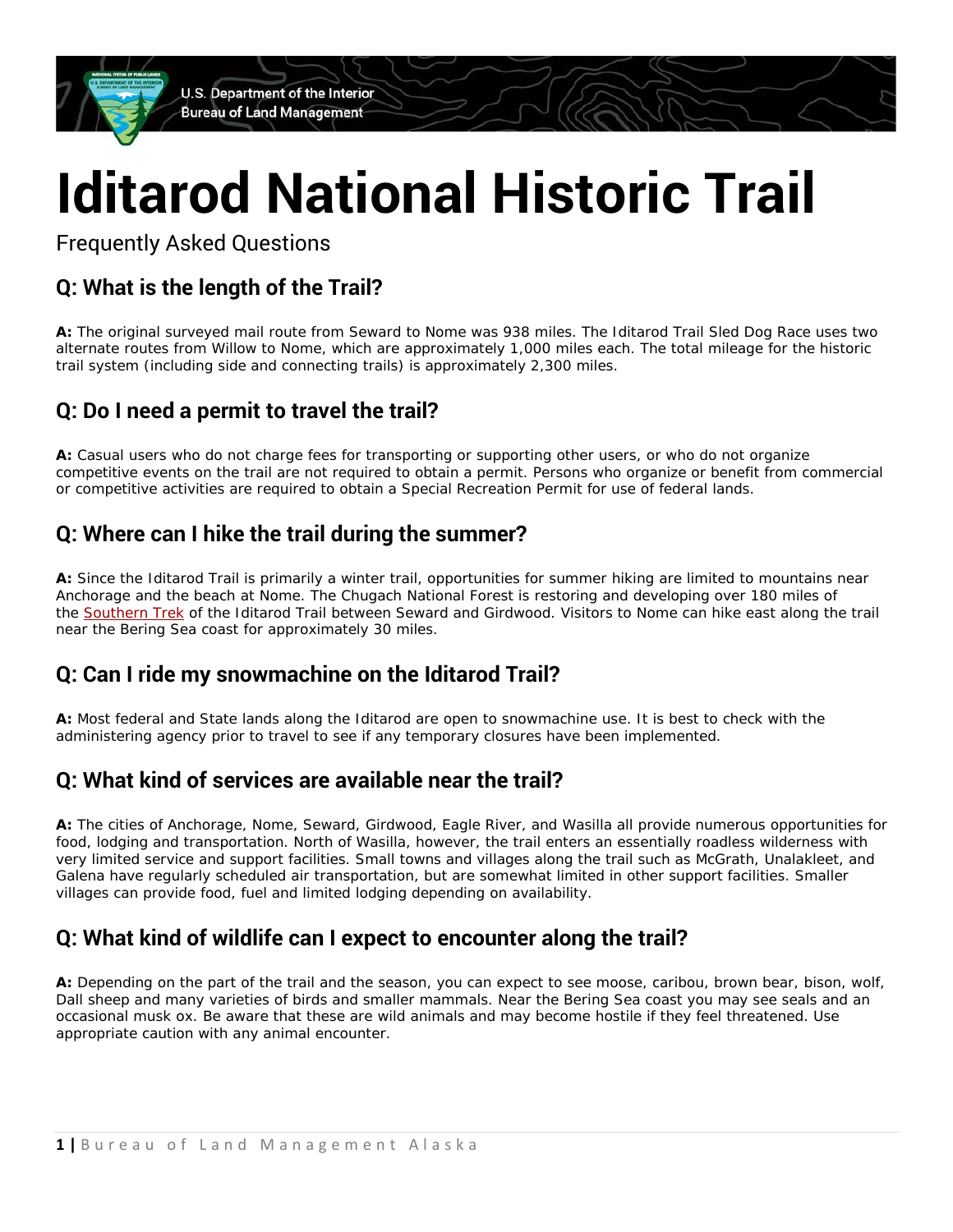U.S. Department of the Interior **Bureau of Land Management** 

# **Iditarod National Historic Trail**

Frequently Asked Questions

# **Q: What is the length of the Trail?**

**A:** The original surveyed mail route from Seward to Nome was 938 miles. The Iditarod Trail Sled Dog Race uses two alternate routes from Willow to Nome, which are approximately 1,000 miles each. The total mileage for the historic trail system (including side and connecting trails) is approximately 2,300 miles.

## **Q: Do I need a permit to travel the trail?**

**A:** Casual users who do not charge fees for transporting or supporting other users, or who do not organize competitive events on the trail are not required to obtain a permit. Persons who organize or benefit from commercial or competitive activities are required to obtain a Special Recreation Permit for use of federal lands.

## **Q: Where can I hike the trail during the summer?**

**A:** Since the Iditarod Trail is primarily a winter trail, opportunities for summer hiking are limited to mountains near Anchorage and the beach at Nome. The Chugach National Forest is restoring and developing over 180 miles of the [Southern Trek](http://www.fs.usda.gov/recarea/chugach/recarea/?recid=16817&actid=50) of the Iditarod Trail between Seward and Girdwood. Visitors to Nome can hike east along the trail near the Bering Sea coast for approximately 30 miles.

#### **Q: Can I ride my snowmachine on the Iditarod Trail?**

**A:** Most federal and State lands along the Iditarod are open to snowmachine use. It is best to check with the administering agency prior to travel to see if any temporary closures have been implemented.

#### **Q: What kind of services are available near the trail?**

**A:** The cities of Anchorage, Nome, Seward, Girdwood, Eagle River, and Wasilla all provide numerous opportunities for food, lodging and transportation. North of Wasilla, however, the trail enters an essentially roadless wilderness with very limited service and support facilities. Small towns and villages along the trail such as McGrath, Unalakleet, and Galena have regularly scheduled air transportation, but are somewhat limited in other support facilities. Smaller villages can provide food, fuel and limited lodging depending on availability.

## **Q: What kind of wildlife can I expect to encounter along the trail?**

**A:** Depending on the part of the trail and the season, you can expect to see moose, caribou, brown bear, bison, wolf, Dall sheep and many varieties of birds and smaller mammals. Near the Bering Sea coast you may see seals and an occasional musk ox. Be aware that these are wild animals and may become hostile if they feel threatened. Use appropriate caution with any animal encounter.